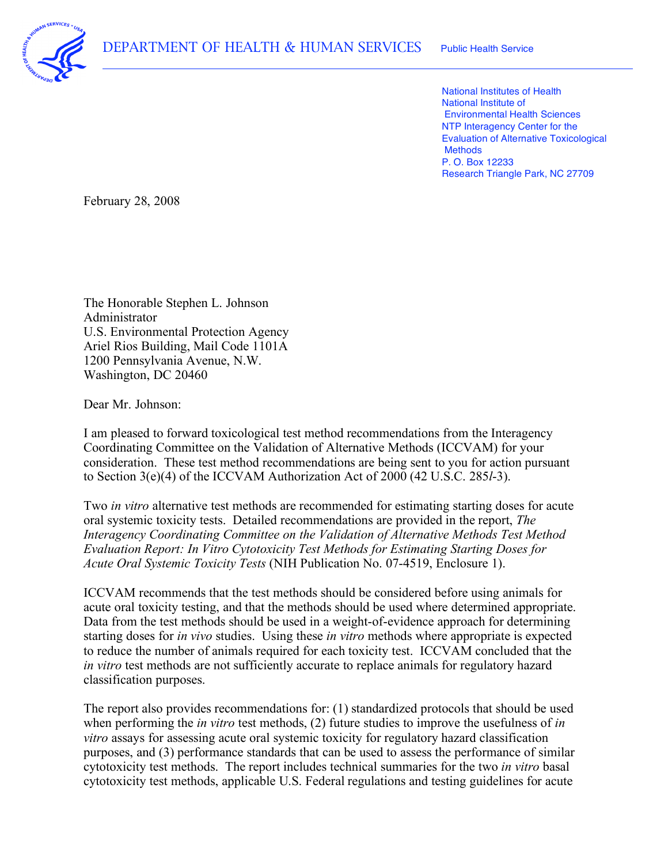

 National Institutes of Health National Institute of Environmental Health Sciences NTP Interagency Center for the Evaluation of Alternative Toxicological P. O. Box 12233 Research Triangle Park, NC 27709 **Methods** 

February 28, 2008

 The Honorable Stephen L. Johnson Ariel Rios Building, Mail Code 1101A 1200 Pennsylvania Avenue, N.W. Washington, DC 20460 Administrator U.S. Environmental Protection Agency

Dear Mr. Johnson:

 I am pleased to forward toxicological test method recommendations from the Interagency Coordinating Committee on the Validation of Alternative Methods (ICCVAM) for your consideration. These test method recommendations are being sent to you for action pursuant to Section 3(e)(4) of the ICCVAM Authorization Act of 2000 (42 U.S.C. 285*l*-3).

 Two *in vitro* alternative test methods are recommended for estimating starting doses for acute oral systemic toxicity tests. Detailed recommendations are provided in the report, *The Interagency Coordinating Committee on the Validation of Alternative Methods Test Method Evaluation Report: In Vitro Cytotoxicity Test Methods for Estimating Starting Doses for Acute Oral Systemic Toxicity Tests* (NIH Publication No. 07-4519, Enclosure 1).

 ICCVAM recommends that the test methods should be considered before using animals for acute oral toxicity testing, and that the methods should be used where determined appropriate. Data from the test methods should be used in a weight-of-evidence approach for determining starting doses for *in vivo* studies. Using these *in vitro* methods where appropriate is expected to reduce the number of animals required for each toxicity test. ICCVAM concluded that the *in vitro* test methods are not sufficiently accurate to replace animals for regulatory hazard classification purposes.

 The report also provides recommendations for: (1) standardized protocols that should be used when performing the *in vitro* test methods, (2) future studies to improve the usefulness of *in vitro* assays for assessing acute oral systemic toxicity for regulatory hazard classification purposes, and (3) performance standards that can be used to assess the performance of similar cytotoxicity test methods. The report includes technical summaries for the two *in vitro* basal cytotoxicity test methods, applicable U.S. Federal regulations and testing guidelines for acute